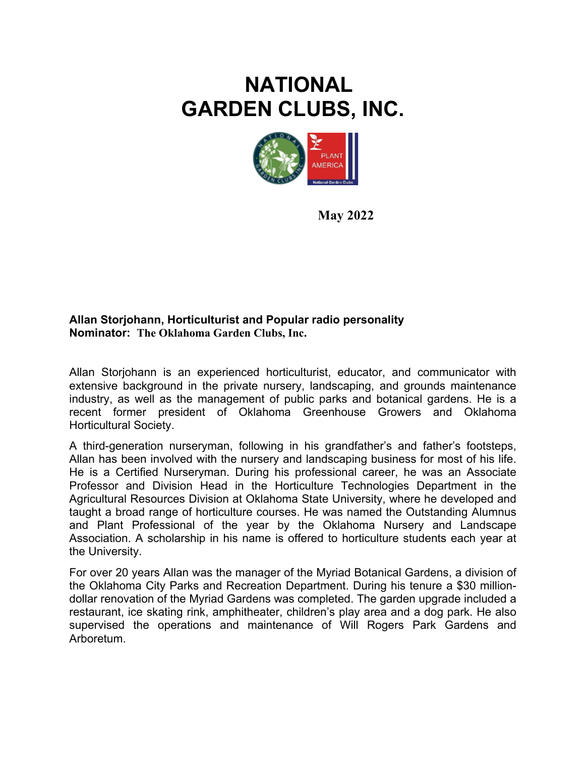## **NATIONAL GARDEN CLUBS, INC.**



**May 2022** 

## **Allan Storjohann, Horticulturist and Popular radio personality Nominator: The Oklahoma Garden Clubs, Inc.**

Allan Storjohann is an experienced horticulturist, educator, and communicator with extensive background in the private nursery, landscaping, and grounds maintenance industry, as well as the management of public parks and botanical gardens. He is a recent former president of Oklahoma Greenhouse Growers and Oklahoma Horticultural Society.

A third-generation nurseryman, following in his grandfather's and father's footsteps, Allan has been involved with the nursery and landscaping business for most of his life. He is a Certified Nurseryman. During his professional career, he was an Associate Professor and Division Head in the Horticulture Technologies Department in the Agricultural Resources Division at Oklahoma State University, where he developed and taught a broad range of horticulture courses. He was named the Outstanding Alumnus and Plant Professional of the year by the Oklahoma Nursery and Landscape Association. A scholarship in his name is offered to horticulture students each year at the University.

For over 20 years Allan was the manager of the Myriad Botanical Gardens, a division of the Oklahoma City Parks and Recreation Department. During his tenure a \$30 milliondollar renovation of the Myriad Gardens was completed. The garden upgrade included a restaurant, ice skating rink, amphitheater, children's play area and a dog park. He also supervised the operations and maintenance of Will Rogers Park Gardens and Arboretum.